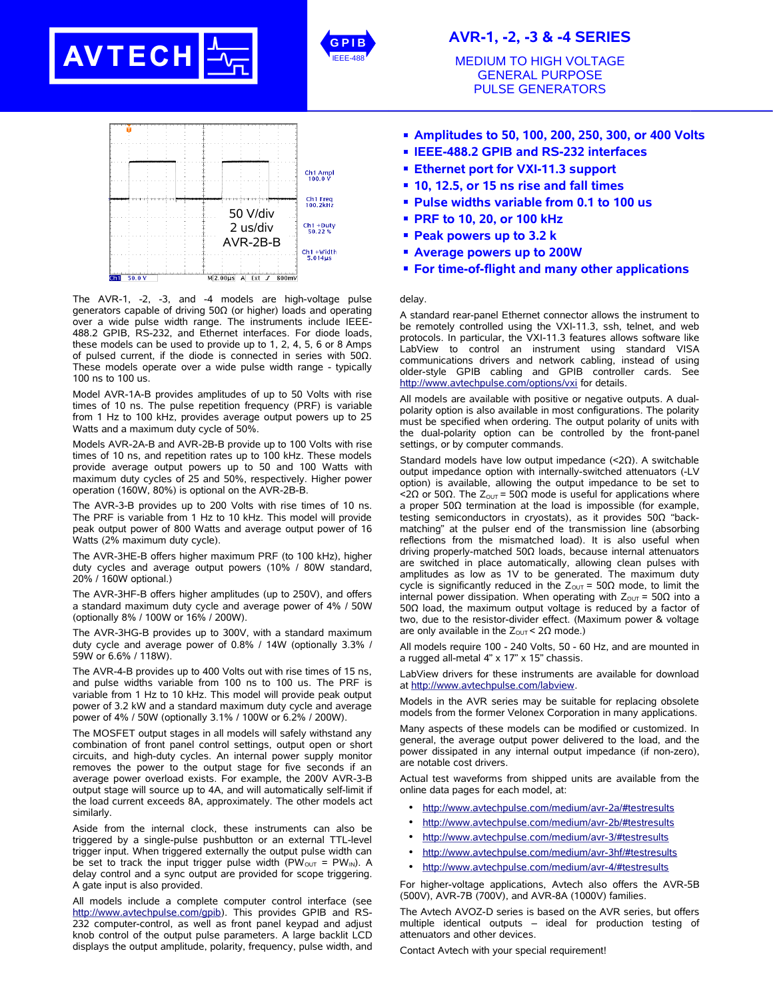





The AVR-1, -2, -3, and -4 models are high-voltage pulse generators capable of driving 50Ω (or higher) loads and operating over a wide pulse width range. The instruments include IEEE-488.2 GPIB, RS-232, and Ethernet interfaces. For diode loads, these models can be used to provide up to 1, 2, 4, 5, 6 or 8 Amps of pulsed current, if the diode is connected in series with 50Ω. These models operate over a wide pulse width range - typically 100 ns to 100 us.

Model AVR-1A-B provides amplitudes of up to 50 Volts with rise times of 10 ns. The pulse repetition frequency (PRF) is variable from 1 Hz to 100 kHz, provides average output powers up to 25 Watts and a maximum duty cycle of 50%.

Models AVR-2A-B and AVR-2B-B provide up to 100 Volts with rise times of 10 ns, and repetition rates up to 100 kHz. These models provide average output powers up to 50 and 100 Watts with maximum duty cycles of 25 and 50%, respectively. Higher power operation (160W, 80%) is optional on the AVR-2B-B.

The AVR-3-B provides up to 200 Volts with rise times of 10 ns. The PRF is variable from 1 Hz to 10 kHz. This model will provide peak output power of 800 Watts and average output power of 16 Watts (2% maximum duty cycle).

The AVR-3HE-B offers higher maximum PRF (to 100 kHz), higher duty cycles and average output powers (10% / 80W standard, 20% / 160W optional.)

The AVR-3HF-B offers higher amplitudes (up to 250V), and offers a standard maximum duty cycle and average power of 4% / 50W (optionally 8% / 100W or 16% / 200W).

The AVR-3HG-B provides up to 300V, with a standard maximum duty cycle and average power of 0.8% / 14W (optionally 3.3% / 59W or 6.6% / 118W).

The AVR-4-B provides up to 400 Volts out with rise times of 15 ns, and pulse widths variable from 100 ns to 100 us. The PRF is variable from 1 Hz to 10 kHz. This model will provide peak output power of 3.2 kW and a standard maximum duty cycle and average power of 4% / 50W (optionally 3.1% / 100W or 6.2% / 200W).

The MOSFET output stages in all models will safely withstand any combination of front panel control settings, output open or short circuits, and high-duty cycles. An internal power supply monitor removes the power to the output stage for five seconds if an average power overload exists. For example, the 200V AVR-3-B output stage will source up to 4A, and will automatically self-limit if the load current exceeds 8A, approximately. The other models act similarly.

Aside from the internal clock, these instruments can also be triggered by a single-pulse pushbutton or an external TTL-level trigger input. When triggered externally the output pulse width can be set to track the input trigger pulse width (PW<sub>OUT</sub> = PW<sub>IN</sub>). A delay control and a sync output are provided for scope triggering. A gate input is also provided.

All models include a complete computer control interface (see http://www.avtechpulse.com/gpib). This provides GPIB and RS-232 computer-control, as well as front panel keypad and adjust knob control of the output pulse parameters. A large backlit LCD displays the output amplitude, polarity, frequency, pulse width, and

## **AVR-1, -2, -3 & -4 SERIES**

MEDIUM TO HIGH VOLTAGE GENERAL PURPOSE PULSE GENERATORS

- **Amplitudes to 50, 100, 200, 250, 300, or 400 Volts**
- **IEEE-488.2 GPIB and RS-232 interfaces**
- **Ethernet port for VXI-11.3 support**
- **10, 12.5, or 15 ns rise and fall times**
- **Pulse widths variable from 0.1 to 100 us**
- **PRF to 10, 20, or 100 kHz**
- **Peak powers up to 3.2 k**
- **Average powers up to 200W**
- **For time-of-flight and many other applications**

## delay.

A standard rear-panel Ethernet connector allows the instrument to be remotely controlled using the VXI-11.3, ssh, telnet, and web protocols. In particular, the VXI-11.3 features allows software like LabView to control an instrument using standard VISA communications drivers and network cabling, instead of using older-style GPIB cabling and GPIB controller cards. See http://www.avtechpulse.com/options/vxi for details.

All models are available with positive or negative outputs. A dualpolarity option is also available in most configurations. The polarity must be specified when ordering. The output polarity of units with the dual-polarity option can be controlled by the front-panel settings, or by computer commands.

Standard models have low output impedance (<2Ω). A switchable output impedance option with internally-switched attenuators (-LV option) is available, allowing the output impedance to be set to  $\langle 2\Omega$  or 50Ω. The Z<sub>OUT</sub> = 50Ω mode is useful for applications where a proper 50Ω termination at the load is impossible (for example, testing semiconductors in cryostats), as it provides 50Ω "backmatching" at the pulser end of the transmission line (absorbing reflections from the mismatched load). It is also useful when driving properly-matched 50Ω loads, because internal attenuators are switched in place automatically, allowing clean pulses with amplitudes as low as 1V to be generated. The maximum duty cycle is significantly reduced in the  $Z_{\text{OUT}} = 50\Omega$  mode, to limit the internal power dissipation. When operating with  $Z_{\text{OUT}} = 50\Omega$  into a 50Ω load, the maximum output voltage is reduced by a factor of two, due to the resistor-divider effect. (Maximum power & voltage are only available in the  $Z_{\text{OUT}}$  < 2Ω mode.)

All models require 100 - 240 Volts, 50 - 60 Hz, and are mounted in a rugged all-metal 4" x 17" x 15" chassis.

LabView drivers for these instruments are available for download at http://www.avtechpulse.com/labview.

Models in the AVR series may be suitable for replacing obsolete models from the former Velonex Corporation in many applications.

Many aspects of these models can be modified or customized. In general, the average output power delivered to the load, and the power dissipated in any internal output impedance (if non-zero), are notable cost drivers.

Actual test waveforms from shipped units are available from the online data pages for each model, at:

- http://www.avtechpulse.com/medium/avr-2a/#testresults
- http://www.avtechpulse.com/medium/avr-2b/#testresults
- http://www.avtechpulse.com/medium/avr-3/#testresults
- http://www.avtechpulse.com/medium/avr-3hf/#testresults
- http://www.avtechpulse.com/medium/avr-4/#testresults

For higher-voltage applications, Avtech also offers the AVR-5B (500V), AVR-7B (700V), and AVR-8A (1000V) families.

The Avtech AVOZ-D series is based on the AVR series, but offers multiple identical outputs – ideal for production testing of attenuators and other devices.

Contact Avtech with your special requirement!